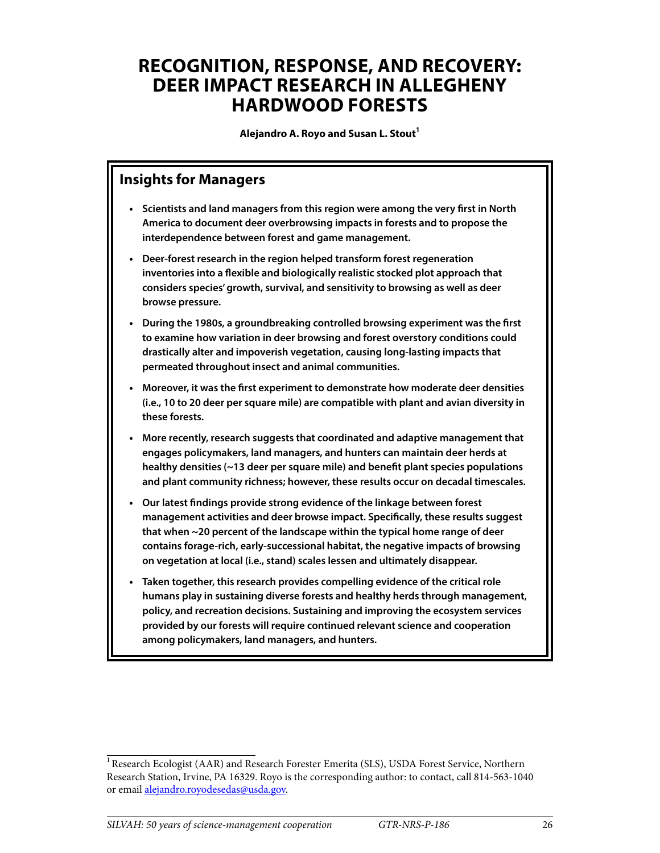## **RECOGNITION, RESPONSE, AND RECOVERY: DEER IMPACT RESEARCH IN ALLEGHENY HARDWOOD FORESTS**

Alejandro A. Royo and Susan L. Stout<sup>1</sup>

#### **Insights for Managers**

- **• Scientists and land managers from this region were among the very first in North America to document deer overbrowsing impacts in forests and to propose the interdependence between forest and game management.**
- **• Deer-forest research in the region helped transform forest regeneration inventories into a flexible and biologically realistic stocked plot approach that considers species' growth, survival, and sensitivity to browsing as well as deer browse pressure.**
- **• During the 1980s, a groundbreaking controlled browsing experiment was the first to examine how variation in deer browsing and forest overstory conditions could drastically alter and impoverish vegetation, causing long-lasting impacts that permeated throughout insect and animal communities.**
- **• Moreover, it was the first experiment to demonstrate how moderate deer densities (i.e., 10 to 20 deer per square mile) are compatible with plant and avian diversity in these forests.**
- **• More recently, research suggests that coordinated and adaptive management that engages policymakers, land managers, and hunters can maintain deer herds at healthy densities (~13 deer per square mile) and benefit plant species populations and plant community richness; however, these results occur on decadal timescales.**
- **• Our latest findings provide strong evidence of the linkage between forest management activities and deer browse impact. Specifically, these results suggest that when ~20 percent of the landscape within the typical home range of deer contains forage-rich, early-successional habitat, the negative impacts of browsing on vegetation at local (i.e., stand) scales lessen and ultimately disappear.**
- **• Taken together, this research provides compelling evidence of the critical role humans play in sustaining diverse forests and healthy herds through management, policy, and recreation decisions. Sustaining and improving the ecosystem services provided by our forests will require continued relevant science and cooperation among policymakers, land managers, and hunters.**

<sup>&</sup>lt;sup>1</sup> Research Ecologist (AAR) and Research Forester Emerita (SLS), USDA Forest Service, Northern Research Station, Irvine, PA 16329. Royo is the corresponding author: to contact, call 814-563-1040 or email [alejandro.royodesedas@usda.gov.](mailto:alejandro.royodesedas%40usda.gov?subject=)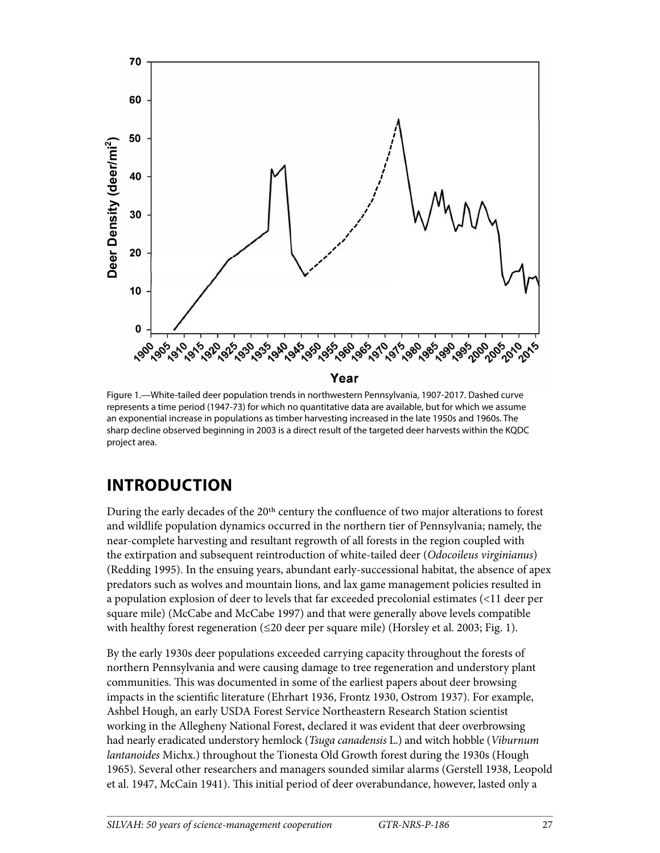

Figure 1.—White-tailed deer population trends in northwestern Pennsylvania, 1907-2017. Dashed curve represents a time period (1947-73) for which no quantitative data are available, but for which we assume an exponential increase in populations as timber harvesting increased in the late 1950s and 1960s. The sharp decline observed beginning in 2003 is a direct result of the targeted deer harvests within the KQDC project area.

## **INTRODUCTION**

During the early decades of the 20th century the confluence of two major alterations to forest and wildlife population dynamics occurred in the northern tier of Pennsylvania; namely, the near-complete harvesting and resultant regrowth of all forests in the region coupled with the extirpation and subsequent reintroduction of white-tailed deer (*Odocoileus virginianus*) (Redding 1995). In the ensuing years, abundant early-successional habitat, the absence of apex predators such as wolves and mountain lions, and lax game management policies resulted in a population explosion of deer to levels that far exceeded precolonial estimates (<11 deer per square mile) (McCabe and McCabe 1997) and that were generally above levels compatible with healthy forest regeneration (≤20 deer per square mile) (Horsley et al. 2003; Fig. 1).

By the early 1930s deer populations exceeded carrying capacity throughout the forests of northern Pennsylvania and were causing damage to tree regeneration and understory plant communities. This was documented in some of the earliest papers about deer browsing impacts in the scientific literature (Ehrhart 1936, Frontz 1930, Ostrom 1937). For example, Ashbel Hough, an early USDA Forest Service Northeastern Research Station scientist working in the Allegheny National Forest, declared it was evident that deer overbrowsing had nearly eradicated understory hemlock (*Tsuga canadensis* L.) and witch hobble (*Viburnum lantanoides* Michx.) throughout the Tionesta Old Growth forest during the 1930s (Hough 1965). Several other researchers and managers sounded similar alarms (Gerstell 1938, Leopold et al. 1947, McCain 1941). This initial period of deer overabundance, however, lasted only a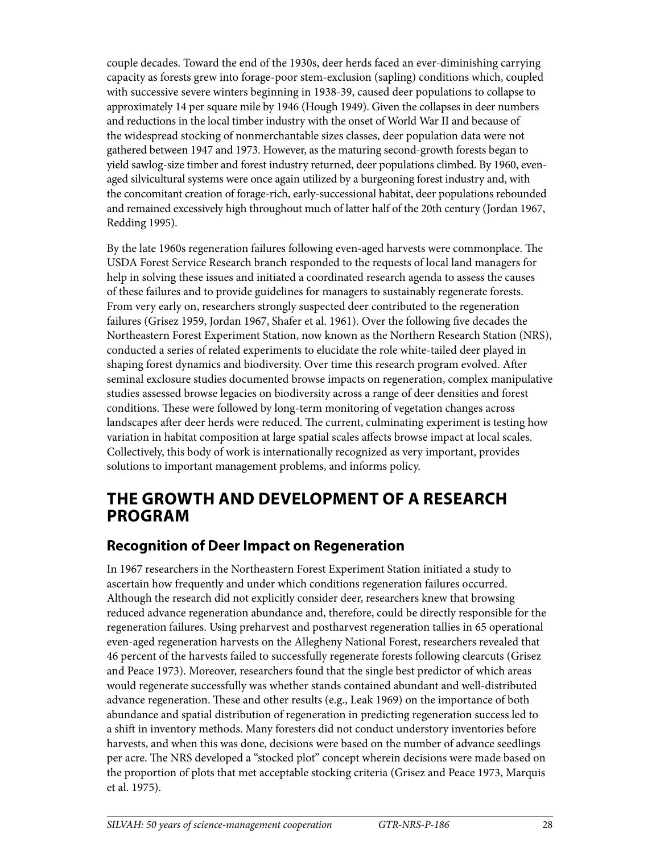couple decades. Toward the end of the 1930s, deer herds faced an ever-diminishing carrying capacity as forests grew into forage-poor stem-exclusion (sapling) conditions which, coupled with successive severe winters beginning in 1938-39, caused deer populations to collapse to approximately 14 per square mile by 1946 (Hough 1949). Given the collapses in deer numbers and reductions in the local timber industry with the onset of World War II and because of the widespread stocking of nonmerchantable sizes classes, deer population data were not gathered between 1947 and 1973. However, as the maturing second-growth forests began to yield sawlog-size timber and forest industry returned, deer populations climbed. By 1960, evenaged silvicultural systems were once again utilized by a burgeoning forest industry and, with the concomitant creation of forage-rich, early-successional habitat, deer populations rebounded and remained excessively high throughout much of latter half of the 20th century (Jordan 1967, Redding 1995).

By the late 1960s regeneration failures following even-aged harvests were commonplace. The USDA Forest Service Research branch responded to the requests of local land managers for help in solving these issues and initiated a coordinated research agenda to assess the causes of these failures and to provide guidelines for managers to sustainably regenerate forests. From very early on, researchers strongly suspected deer contributed to the regeneration failures (Grisez 1959, Jordan 1967, Shafer et al. 1961). Over the following five decades the Northeastern Forest Experiment Station, now known as the Northern Research Station (NRS), conducted a series of related experiments to elucidate the role white-tailed deer played in shaping forest dynamics and biodiversity. Over time this research program evolved. After seminal exclosure studies documented browse impacts on regeneration, complex manipulative studies assessed browse legacies on biodiversity across a range of deer densities and forest conditions. These were followed by long-term monitoring of vegetation changes across landscapes after deer herds were reduced. The current, culminating experiment is testing how variation in habitat composition at large spatial scales affects browse impact at local scales. Collectively, this body of work is internationally recognized as very important, provides solutions to important management problems, and informs policy.

### **THE GROWTH AND DEVELOPMENT OF A RESEARCH PROGRAM**

#### **Recognition of Deer Impact on Regeneration**

In 1967 researchers in the Northeastern Forest Experiment Station initiated a study to ascertain how frequently and under which conditions regeneration failures occurred. Although the research did not explicitly consider deer, researchers knew that browsing reduced advance regeneration abundance and, therefore, could be directly responsible for the regeneration failures. Using preharvest and postharvest regeneration tallies in 65 operational even-aged regeneration harvests on the Allegheny National Forest, researchers revealed that 46 percent of the harvests failed to successfully regenerate forests following clearcuts (Grisez and Peace 1973). Moreover, researchers found that the single best predictor of which areas would regenerate successfully was whether stands contained abundant and well-distributed advance regeneration. These and other results (e.g., Leak 1969) on the importance of both abundance and spatial distribution of regeneration in predicting regeneration success led to a shift in inventory methods. Many foresters did not conduct understory inventories before harvests, and when this was done, decisions were based on the number of advance seedlings per acre. The NRS developed a "stocked plot" concept wherein decisions were made based on the proportion of plots that met acceptable stocking criteria (Grisez and Peace 1973, Marquis et al. 1975).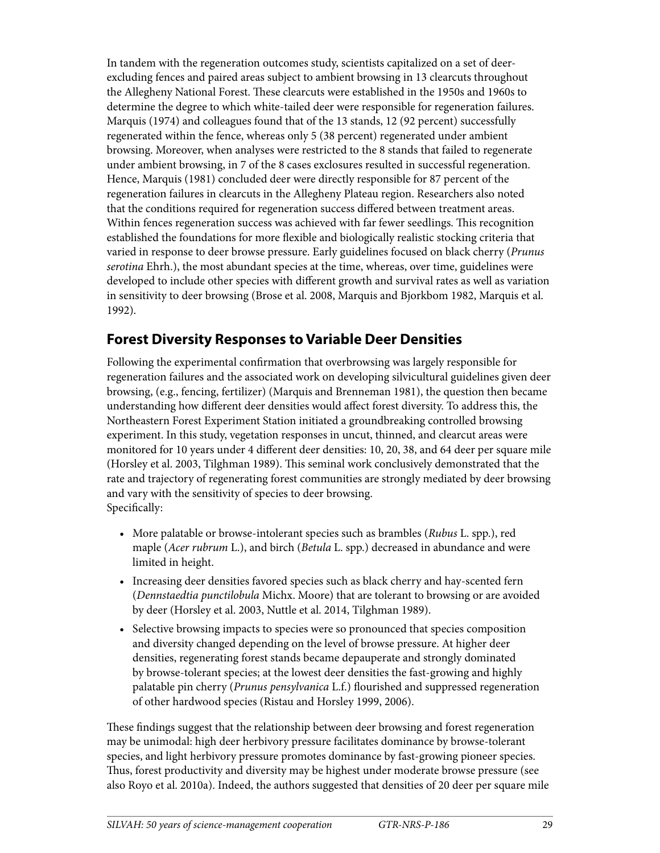In tandem with the regeneration outcomes study, scientists capitalized on a set of deerexcluding fences and paired areas subject to ambient browsing in 13 clearcuts throughout the Allegheny National Forest. These clearcuts were established in the 1950s and 1960s to determine the degree to which white-tailed deer were responsible for regeneration failures. Marquis (1974) and colleagues found that of the 13 stands, 12 (92 percent) successfully regenerated within the fence, whereas only 5 (38 percent) regenerated under ambient browsing. Moreover, when analyses were restricted to the 8 stands that failed to regenerate under ambient browsing, in 7 of the 8 cases exclosures resulted in successful regeneration. Hence, Marquis (1981) concluded deer were directly responsible for 87 percent of the regeneration failures in clearcuts in the Allegheny Plateau region. Researchers also noted that the conditions required for regeneration success differed between treatment areas. Within fences regeneration success was achieved with far fewer seedlings. This recognition established the foundations for more flexible and biologically realistic stocking criteria that varied in response to deer browse pressure. Early guidelines focused on black cherry (*Prunus serotina* Ehrh.), the most abundant species at the time, whereas, over time, guidelines were developed to include other species with different growth and survival rates as well as variation in sensitivity to deer browsing (Brose et al. 2008, Marquis and Bjorkbom 1982, Marquis et al. 1992).

#### **Forest Diversity Responses to Variable Deer Densities**

Following the experimental confirmation that overbrowsing was largely responsible for regeneration failures and the associated work on developing silvicultural guidelines given deer browsing, (e.g., fencing, fertilizer) (Marquis and Brenneman 1981), the question then became understanding how different deer densities would affect forest diversity. To address this, the Northeastern Forest Experiment Station initiated a groundbreaking controlled browsing experiment. In this study, vegetation responses in uncut, thinned, and clearcut areas were monitored for 10 years under 4 different deer densities: 10, 20, 38, and 64 deer per square mile (Horsley et al. 2003, Tilghman 1989). This seminal work conclusively demonstrated that the rate and trajectory of regenerating forest communities are strongly mediated by deer browsing and vary with the sensitivity of species to deer browsing. Specifically:

- More palatable or browse-intolerant species such as brambles (*Rubus* L. spp.), red maple (*Acer rubrum* L.), and birch (*Betula* L. spp.) decreased in abundance and were limited in height.
- Increasing deer densities favored species such as black cherry and hay-scented fern (*Dennstaedtia punctilobula* Michx. Moore) that are tolerant to browsing or are avoided by deer (Horsley et al. 2003, Nuttle et al. 2014, Tilghman 1989).
- Selective browsing impacts to species were so pronounced that species composition and diversity changed depending on the level of browse pressure. At higher deer densities, regenerating forest stands became depauperate and strongly dominated by browse-tolerant species; at the lowest deer densities the fast-growing and highly palatable pin cherry (*Prunus pensylvanica* L.f.) flourished and suppressed regeneration of other hardwood species (Ristau and Horsley 1999, 2006).

These findings suggest that the relationship between deer browsing and forest regeneration may be unimodal: high deer herbivory pressure facilitates dominance by browse-tolerant species, and light herbivory pressure promotes dominance by fast-growing pioneer species. Thus, forest productivity and diversity may be highest under moderate browse pressure (see also Royo et al. 2010a). Indeed, the authors suggested that densities of 20 deer per square mile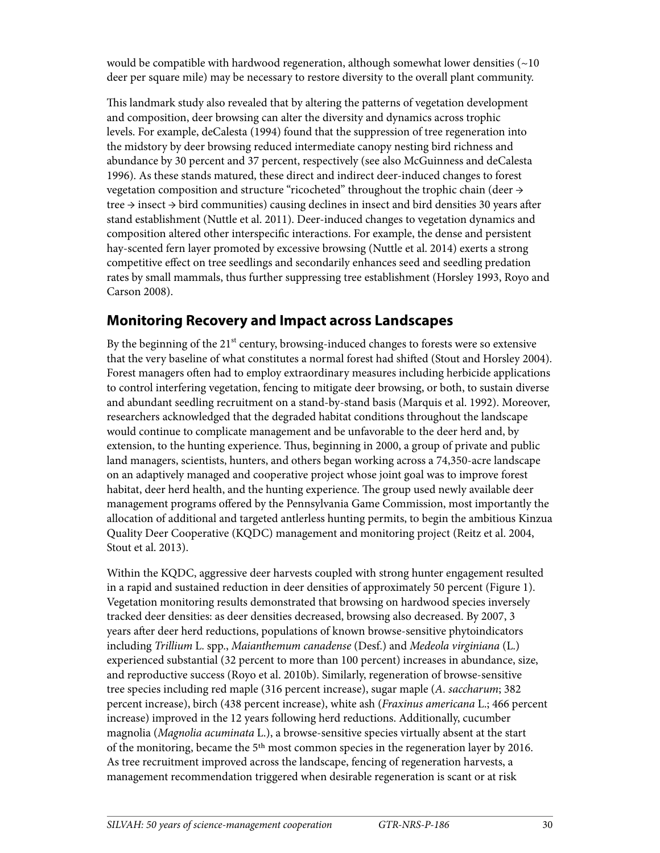would be compatible with hardwood regeneration, although somewhat lower densities  $(\sim 10$ deer per square mile) may be necessary to restore diversity to the overall plant community.

This landmark study also revealed that by altering the patterns of vegetation development and composition, deer browsing can alter the diversity and dynamics across trophic levels. For example, deCalesta (1994) found that the suppression of tree regeneration into the midstory by deer browsing reduced intermediate canopy nesting bird richness and abundance by 30 percent and 37 percent, respectively (see also McGuinness and deCalesta 1996). As these stands matured, these direct and indirect deer-induced changes to forest vegetation composition and structure "ricocheted" throughout the trophic chain (deer  $\rightarrow$ tree  $\rightarrow$  insect  $\rightarrow$  bird communities) causing declines in insect and bird densities 30 years after stand establishment (Nuttle et al. 2011). Deer-induced changes to vegetation dynamics and composition altered other interspecific interactions. For example, the dense and persistent hay-scented fern layer promoted by excessive browsing (Nuttle et al. 2014) exerts a strong competitive effect on tree seedlings and secondarily enhances seed and seedling predation rates by small mammals, thus further suppressing tree establishment (Horsley 1993, Royo and Carson 2008).

#### **Monitoring Recovery and Impact across Landscapes**

By the beginning of the  $21<sup>st</sup>$  century, browsing-induced changes to forests were so extensive that the very baseline of what constitutes a normal forest had shifted (Stout and Horsley 2004). Forest managers often had to employ extraordinary measures including herbicide applications to control interfering vegetation, fencing to mitigate deer browsing, or both, to sustain diverse and abundant seedling recruitment on a stand-by-stand basis (Marquis et al. 1992). Moreover, researchers acknowledged that the degraded habitat conditions throughout the landscape would continue to complicate management and be unfavorable to the deer herd and, by extension, to the hunting experience. Thus, beginning in 2000, a group of private and public land managers, scientists, hunters, and others began working across a 74,350-acre landscape on an adaptively managed and cooperative project whose joint goal was to improve forest habitat, deer herd health, and the hunting experience. The group used newly available deer management programs offered by the Pennsylvania Game Commission, most importantly the allocation of additional and targeted antlerless hunting permits, to begin the ambitious Kinzua Quality Deer Cooperative (KQDC) management and monitoring project (Reitz et al. 2004, Stout et al. 2013).

Within the KQDC, aggressive deer harvests coupled with strong hunter engagement resulted in a rapid and sustained reduction in deer densities of approximately 50 percent (Figure 1). Vegetation monitoring results demonstrated that browsing on hardwood species inversely tracked deer densities: as deer densities decreased, browsing also decreased. By 2007, 3 years after deer herd reductions, populations of known browse-sensitive phytoindicators including *Trillium* L. spp., *Maianthemum canadense* (Desf.) and *Medeola virginiana* (L.) experienced substantial (32 percent to more than 100 percent) increases in abundance, size, and reproductive success (Royo et al. 2010b). Similarly, regeneration of browse-sensitive tree species including red maple (316 percent increase), sugar maple (*A. saccharum*; 382 percent increase), birch (438 percent increase), white ash (*Fraxinus americana* L.; 466 percent increase) improved in the 12 years following herd reductions. Additionally, cucumber magnolia (*Magnolia acuminata* L.), a browse-sensitive species virtually absent at the start of the monitoring, became the 5th most common species in the regeneration layer by 2016. As tree recruitment improved across the landscape, fencing of regeneration harvests, a management recommendation triggered when desirable regeneration is scant or at risk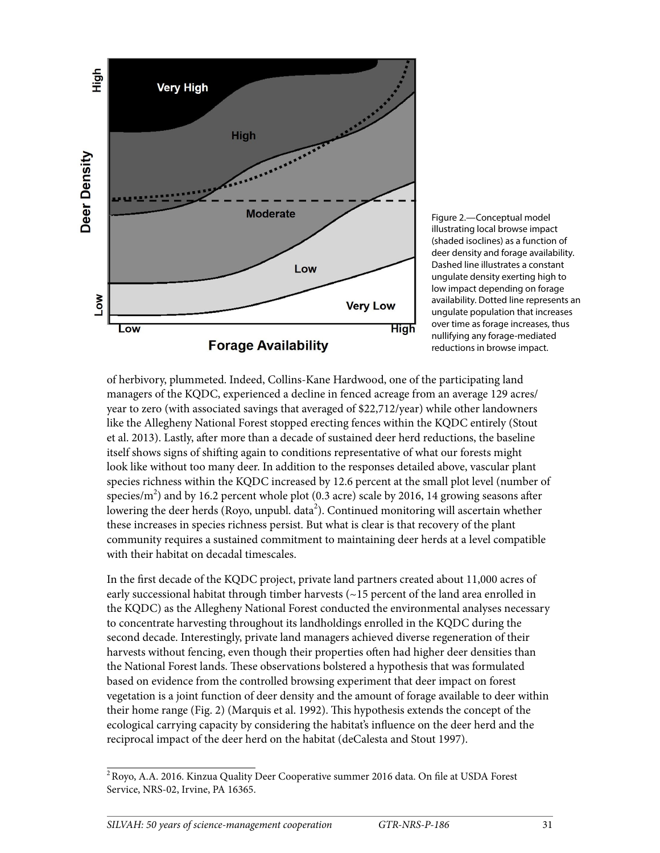

Figure 2.—Conceptual model illustrating local browse impact (shaded isoclines) as a function of deer density and forage availability. Dashed line illustrates a constant ungulate density exerting high to low impact depending on forage availability. Dotted line represents an ungulate population that increases over time as forage increases, thus nullifying any forage-mediated reductions in browse impact.

of herbivory, plummeted. Indeed, Collins-Kane Hardwood, one of the participating land managers of the KQDC, experienced a decline in fenced acreage from an average 129 acres/ year to zero (with associated savings that averaged of \$22,712/year) while other landowners like the Allegheny National Forest stopped erecting fences within the KQDC entirely (Stout et al. 2013). Lastly, after more than a decade of sustained deer herd reductions, the baseline itself shows signs of shifting again to conditions representative of what our forests might look like without too many deer. In addition to the responses detailed above, vascular plant species richness within the KQDC increased by 12.6 percent at the small plot level (number of species/m<sup>2</sup>) and by 16.2 percent whole plot (0.3 acre) scale by 2016, 14 growing seasons after lowering the deer herds (Royo, unpubl. data<sup>2</sup>). Continued monitoring will ascertain whether these increases in species richness persist. But what is clear is that recovery of the plant community requires a sustained commitment to maintaining deer herds at a level compatible with their habitat on decadal timescales.

In the first decade of the KQDC project, private land partners created about 11,000 acres of early successional habitat through timber harvests (~15 percent of the land area enrolled in the KQDC) as the Allegheny National Forest conducted the environmental analyses necessary to concentrate harvesting throughout its landholdings enrolled in the KQDC during the second decade. Interestingly, private land managers achieved diverse regeneration of their harvests without fencing, even though their properties often had higher deer densities than the National Forest lands. These observations bolstered a hypothesis that was formulated based on evidence from the controlled browsing experiment that deer impact on forest vegetation is a joint function of deer density and the amount of forage available to deer within their home range (Fig. 2) (Marquis et al. 1992). This hypothesis extends the concept of the ecological carrying capacity by considering the habitat's influence on the deer herd and the reciprocal impact of the deer herd on the habitat (deCalesta and Stout 1997).

<sup>2</sup> Royo, A.A. 2016. Kinzua Quality Deer Cooperative summer 2016 data. On file at USDA Forest Service, NRS-02, Irvine, PA 16365.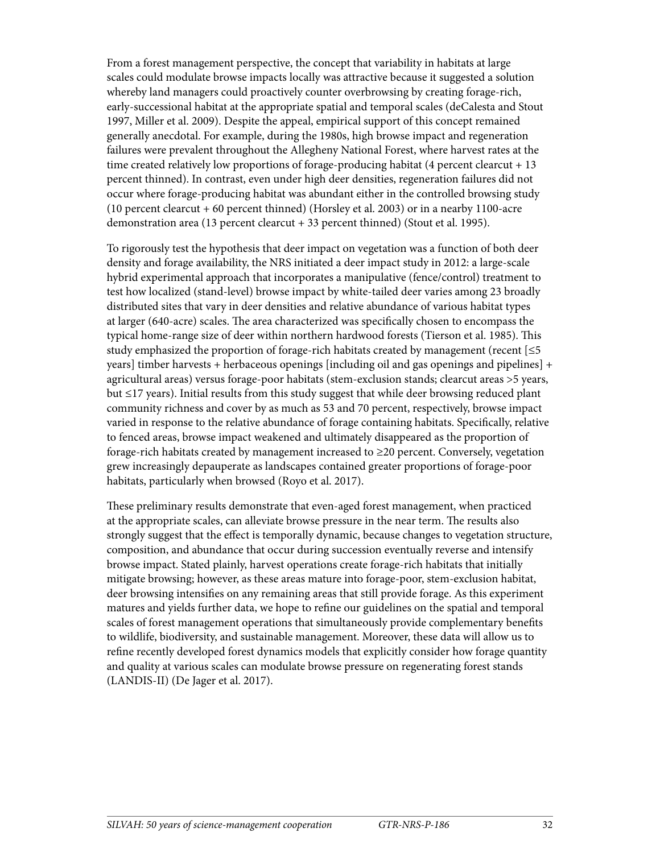From a forest management perspective, the concept that variability in habitats at large scales could modulate browse impacts locally was attractive because it suggested a solution whereby land managers could proactively counter overbrowsing by creating forage-rich, early-successional habitat at the appropriate spatial and temporal scales (deCalesta and Stout 1997, Miller et al. 2009). Despite the appeal, empirical support of this concept remained generally anecdotal. For example, during the 1980s, high browse impact and regeneration failures were prevalent throughout the Allegheny National Forest, where harvest rates at the time created relatively low proportions of forage-producing habitat (4 percent clearcut + 13 percent thinned). In contrast, even under high deer densities, regeneration failures did not occur where forage-producing habitat was abundant either in the controlled browsing study (10 percent clearcut + 60 percent thinned) (Horsley et al. 2003) or in a nearby 1100-acre demonstration area (13 percent clearcut + 33 percent thinned) (Stout et al. 1995).

To rigorously test the hypothesis that deer impact on vegetation was a function of both deer density and forage availability, the NRS initiated a deer impact study in 2012: a large-scale hybrid experimental approach that incorporates a manipulative (fence/control) treatment to test how localized (stand-level) browse impact by white-tailed deer varies among 23 broadly distributed sites that vary in deer densities and relative abundance of various habitat types at larger (640-acre) scales. The area characterized was specifically chosen to encompass the typical home-range size of deer within northern hardwood forests (Tierson et al. 1985). This study emphasized the proportion of forage-rich habitats created by management (recent  $\leq 5$ years] timber harvests + herbaceous openings [including oil and gas openings and pipelines] + agricultural areas) versus forage-poor habitats (stem-exclusion stands; clearcut areas >5 years, but ≤17 years). Initial results from this study suggest that while deer browsing reduced plant community richness and cover by as much as 53 and 70 percent, respectively, browse impact varied in response to the relative abundance of forage containing habitats. Specifically, relative to fenced areas, browse impact weakened and ultimately disappeared as the proportion of forage-rich habitats created by management increased to ≥20 percent. Conversely, vegetation grew increasingly depauperate as landscapes contained greater proportions of forage-poor habitats, particularly when browsed (Royo et al. 2017).

These preliminary results demonstrate that even-aged forest management, when practiced at the appropriate scales, can alleviate browse pressure in the near term. The results also strongly suggest that the effect is temporally dynamic, because changes to vegetation structure, composition, and abundance that occur during succession eventually reverse and intensify browse impact. Stated plainly, harvest operations create forage-rich habitats that initially mitigate browsing; however, as these areas mature into forage-poor, stem-exclusion habitat, deer browsing intensifies on any remaining areas that still provide forage. As this experiment matures and yields further data, we hope to refine our guidelines on the spatial and temporal scales of forest management operations that simultaneously provide complementary benefits to wildlife, biodiversity, and sustainable management. Moreover, these data will allow us to refine recently developed forest dynamics models that explicitly consider how forage quantity and quality at various scales can modulate browse pressure on regenerating forest stands (LANDIS-II) (De Jager et al. 2017).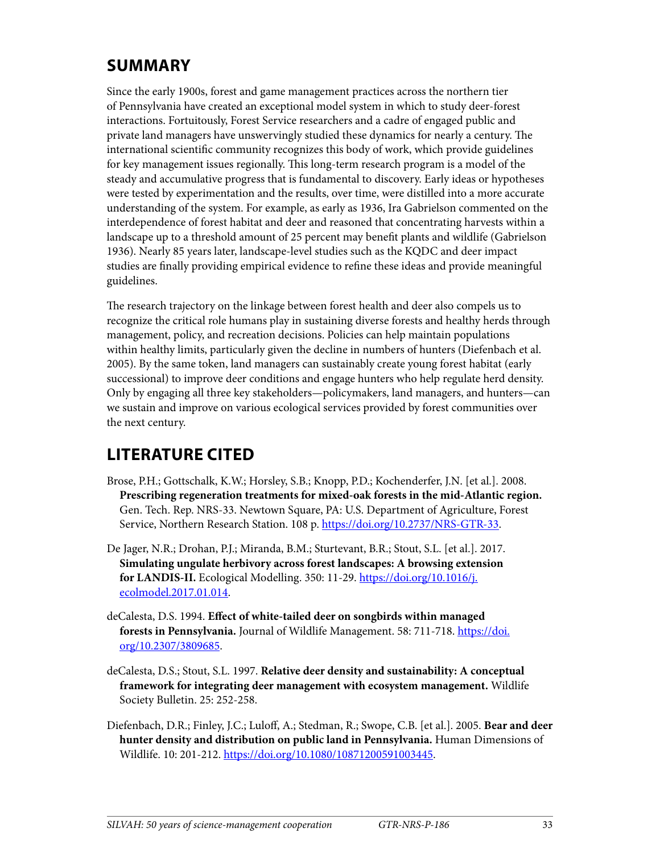## **SUMMARY**

Since the early 1900s, forest and game management practices across the northern tier of Pennsylvania have created an exceptional model system in which to study deer-forest interactions. Fortuitously, Forest Service researchers and a cadre of engaged public and private land managers have unswervingly studied these dynamics for nearly a century. The international scientific community recognizes this body of work, which provide guidelines for key management issues regionally. This long-term research program is a model of the steady and accumulative progress that is fundamental to discovery. Early ideas or hypotheses were tested by experimentation and the results, over time, were distilled into a more accurate understanding of the system. For example, as early as 1936, Ira Gabrielson commented on the interdependence of forest habitat and deer and reasoned that concentrating harvests within a landscape up to a threshold amount of 25 percent may benefit plants and wildlife (Gabrielson 1936). Nearly 85 years later, landscape-level studies such as the KQDC and deer impact studies are finally providing empirical evidence to refine these ideas and provide meaningful guidelines.

The research trajectory on the linkage between forest health and deer also compels us to recognize the critical role humans play in sustaining diverse forests and healthy herds through management, policy, and recreation decisions. Policies can help maintain populations within healthy limits, particularly given the decline in numbers of hunters (Diefenbach et al. 2005). By the same token, land managers can sustainably create young forest habitat (early successional) to improve deer conditions and engage hunters who help regulate herd density. Only by engaging all three key stakeholders—policymakers, land managers, and hunters—can we sustain and improve on various ecological services provided by forest communities over the next century.

# **LITERATURE CITED**

- Brose, P.H.; Gottschalk, K.W.; Horsley, S.B.; Knopp, P.D.; Kochenderfer, J.N. [et al.]. 2008. **Prescribing regeneration treatments for mixed-oak forests in the mid-Atlantic region.** Gen. Tech. Rep. NRS-33. Newtown Square, PA: U.S. Department of Agriculture, Forest Service, Northern Research Station. 108 p. [https://doi.org/10.2737/NRS-GTR-33.](https://doi.org/10.2737/NRS-GTR-33)
- De Jager, N.R.; Drohan, P.J.; Miranda, B.M.; Sturtevant, B.R.; Stout, S.L. [et al.]. 2017. **Simulating ungulate herbivory across forest landscapes: A browsing extension for LANDIS-II.** Ecological Modelling. 350: 11-29. [https://doi.org/10.1016/j.](https://doi.org/10.1016/j.ecolmodel.2017.01.014) [ecolmodel.2017.01.014.](https://doi.org/10.1016/j.ecolmodel.2017.01.014)
- deCalesta, D.S. 1994. **Effect of white-tailed deer on songbirds within managed**  forests in Pennsylvania. Journal of Wildlife Management. 58: 711-718. [https://doi.](https://doi.org/10.2307/3809685) [org/10.2307/3809685](https://doi.org/10.2307/3809685).
- deCalesta, D.S.; Stout, S.L. 1997. **Relative deer density and sustainability: A conceptual framework for integrating deer management with ecosystem management.** Wildlife Society Bulletin. 25: 252-258.
- Diefenbach, D.R.; Finley, J.C.; Luloff, A.; Stedman, R.; Swope, C.B. [et al.]. 2005. **Bear and deer hunter density and distribution on public land in Pennsylvania.** Human Dimensions of Wildlife. 10: 201-212. [https://doi.org/10.1080/10871200591003445.](https://doi.org/10.1080/10871200591003445)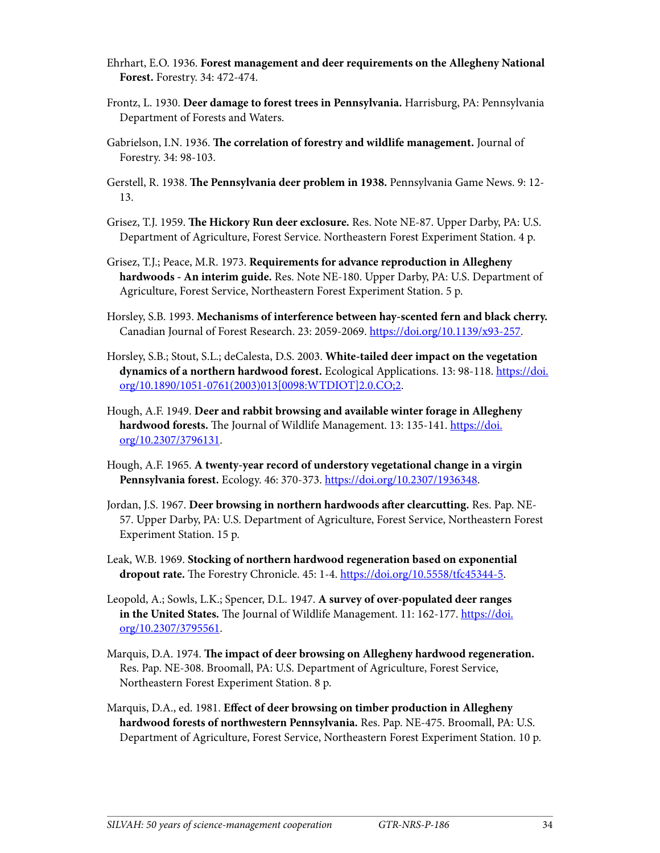- Ehrhart, E.O. 1936. **Forest management and deer requirements on the Allegheny National Forest.** Forestry. 34: 472-474.
- Frontz, L. 1930. **Deer damage to forest trees in Pennsylvania.** Harrisburg, PA: Pennsylvania Department of Forests and Waters.
- Gabrielson, I.N. 1936. **The correlation of forestry and wildlife management.** Journal of Forestry. 34: 98-103.
- Gerstell, R. 1938. **The Pennsylvania deer problem in 1938.** Pennsylvania Game News. 9: 12- 13.
- Grisez, T.J. 1959. **The Hickory Run deer exclosure.** Res. Note NE-87. Upper Darby, PA: U.S. Department of Agriculture, Forest Service. Northeastern Forest Experiment Station. 4 p.
- Grisez, T.J.; Peace, M.R. 1973. **Requirements for advance reproduction in Allegheny hardwoods - An interim guide.** Res. Note NE-180. Upper Darby, PA: U.S. Department of Agriculture, Forest Service, Northeastern Forest Experiment Station. 5 p.
- Horsley, S.B. 1993. **Mechanisms of interference between hay-scented fern and black cherry.** Canadian Journal of Forest Research. 23: 2059-2069.<https://doi.org/10.1139/x93-257>.
- Horsley, S.B.; Stout, S.L.; deCalesta, D.S. 2003. **White-tailed deer impact on the vegetation dynamics of a northern hardwood forest.** Ecological Applications. 13: 98-118. [https://doi.](https://doi.org/10.1890/1051-0761(2003)013%5b0098:WTDIOT%5d2.0.CO;2) [org/10.1890/1051-0761\(2003\)013\[0098:WTDIOT\]2.0.CO;2](https://doi.org/10.1890/1051-0761(2003)013%5b0098:WTDIOT%5d2.0.CO;2).
- Hough, A.F. 1949. **Deer and rabbit browsing and available winter forage in Allegheny**  hardwood forests. The Journal of Wildlife Management. 13: 135-141. [https://doi.](https://doi.org/10.2307/3796131) [org/10.2307/3796131](https://doi.org/10.2307/3796131).
- Hough, A.F. 1965. **A twenty-year record of understory vegetational change in a virgin Pennsylvania forest.** Ecology. 46: 370-373. https://doi.org[/10.2307/1936348.](http://dx.doi.org/10.2307/1936348)
- Jordan, J.S. 1967. **Deer browsing in northern hardwoods after clearcutting.** Res. Pap. NE-57. Upper Darby, PA: U.S. Department of Agriculture, Forest Service, Northeastern Forest Experiment Station. 15 p.
- Leak, W.B. 1969. **Stocking of northern hardwood regeneration based on exponential dropout rate.** The Forestry Chronicle. 45: 1-4. <https://doi.org/10.5558/tfc45344-5>.
- Leopold, A.; Sowls, L.K.; Spencer, D.L. 1947. **A survey of over-populated deer ranges in the United States.** The Journal of Wildlife Management. 11: 162-177. [https://doi.](https://doi.org/10.2307/3795561) [org/10.2307/3795561](https://doi.org/10.2307/3795561).
- Marquis, D.A. 1974. **The impact of deer browsing on Allegheny hardwood regeneration.** Res. Pap. NE-308. Broomall, PA: U.S. Department of Agriculture, Forest Service, Northeastern Forest Experiment Station. 8 p.
- Marquis, D.A., ed. 1981. **Effect of deer browsing on timber production in Allegheny hardwood forests of northwestern Pennsylvania.** Res. Pap. NE-475. Broomall, PA: U.S. Department of Agriculture, Forest Service, Northeastern Forest Experiment Station. 10 p.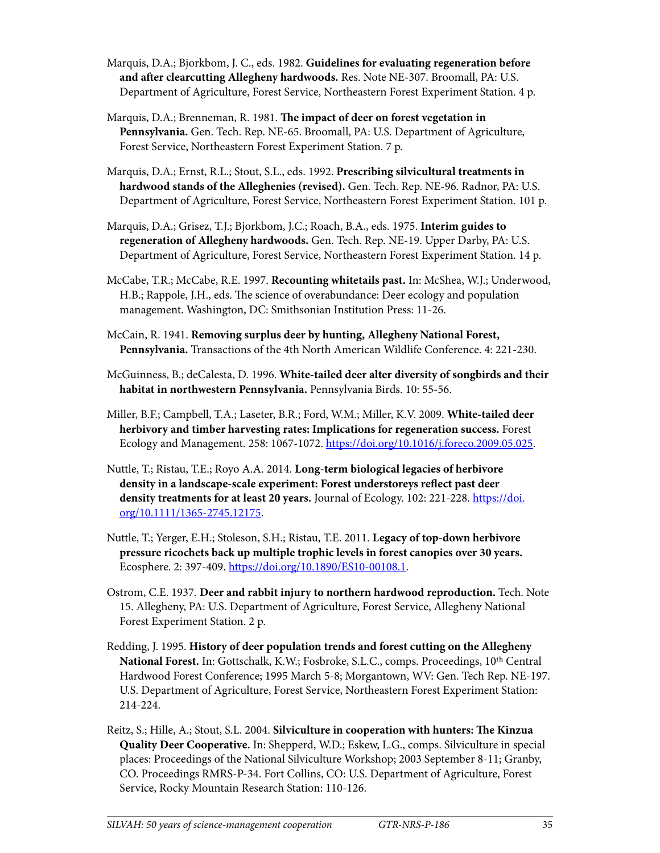- Marquis, D.A.; Bjorkbom, J. C., eds. 1982. **Guidelines for evaluating regeneration before and after clearcutting Allegheny hardwoods.** Res. Note NE-307. Broomall, PA: U.S. Department of Agriculture, Forest Service, Northeastern Forest Experiment Station. 4 p.
- Marquis, D.A.; Brenneman, R. 1981. **The impact of deer on forest vegetation in Pennsylvania.** Gen. Tech. Rep. NE-65. Broomall, PA: U.S. Department of Agriculture, Forest Service, Northeastern Forest Experiment Station. 7 p.
- Marquis, D.A.; Ernst, R.L.; Stout, S.L., eds. 1992. **Prescribing silvicultural treatments in hardwood stands of the Alleghenies (revised).** Gen. Tech. Rep. NE-96. Radnor, PA: U.S. Department of Agriculture, Forest Service, Northeastern Forest Experiment Station. 101 p.
- Marquis, D.A.; Grisez, T.J.; Bjorkbom, J.C.; Roach, B.A., eds. 1975. **Interim guides to regeneration of Allegheny hardwoods.** Gen. Tech. Rep. NE-19. Upper Darby, PA: U.S. Department of Agriculture, Forest Service, Northeastern Forest Experiment Station. 14 p.
- McCabe, T.R.; McCabe, R.E. 1997. **Recounting whitetails past.** In: McShea, W.J.; Underwood, H.B.; Rappole, J.H., eds. The science of overabundance: Deer ecology and population management. Washington, DC: Smithsonian Institution Press: 11-26.
- McCain, R. 1941. **Removing surplus deer by hunting, Allegheny National Forest, Pennsylvania.** Transactions of the 4th North American Wildlife Conference. 4: 221-230.
- McGuinness, B.; deCalesta, D. 1996. **White-tailed deer alter diversity of songbirds and their habitat in northwestern Pennsylvania.** Pennsylvania Birds. 10: 55-56.
- Miller, B.F.; Campbell, T.A.; Laseter, B.R.; Ford, W.M.; Miller, K.V. 2009. **White-tailed deer herbivory and timber harvesting rates: Implications for regeneration success.** Forest Ecology and Management. 258: 1067-1072. [https://doi.org/10.1016/j.foreco.2009.05.025.](https://doi.org/10.1016/j.foreco.2009.05.025)
- Nuttle, T.; Ristau, T.E.; Royo A.A. 2014. **Long‐term biological legacies of herbivore density in a landscape‐scale experiment: Forest understoreys reflect past deer density treatments for at least 20 years.** Journal of Ecology. 102: 221-228. [https://doi.](https://doi.org/10.1111/1365-2745.12175) [org/10.1111/1365-2745.12175](https://doi.org/10.1111/1365-2745.12175).
- Nuttle, T.; Yerger, E.H.; Stoleson, S.H.; Ristau, T.E. 2011. **Legacy of top-down herbivore pressure ricochets back up multiple trophic levels in forest canopies over 30 years.** Ecosphere. 2: 397-409. [https://doi.org/10.1890/ES10-00108.1.](https://doi.org/10.1890/ES10-00108.1)
- Ostrom, C.E. 1937. **Deer and rabbit injury to northern hardwood reproduction.** Tech. Note 15. Allegheny, PA: U.S. Department of Agriculture, Forest Service, Allegheny National Forest Experiment Station. 2 p.
- Redding, J. 1995. **History of deer population trends and forest cutting on the Allegheny National Forest.** In: Gottschalk, K.W.; Fosbroke, S.L.C., comps. Proceedings, 10th Central Hardwood Forest Conference; 1995 March 5-8; Morgantown, WV: Gen. Tech Rep. NE-197. U.S. Department of Agriculture, Forest Service, Northeastern Forest Experiment Station: 214-224.
- Reitz, S.; Hille, A.; Stout, S.L. 2004. **Silviculture in cooperation with hunters: The Kinzua Quality Deer Cooperative.** In: Shepperd, W.D.; Eskew, L.G., comps. Silviculture in special places: Proceedings of the National Silviculture Workshop; 2003 September 8-11; Granby, CO. Proceedings RMRS-P-34. Fort Collins, CO: U.S. Department of Agriculture, Forest Service, Rocky Mountain Research Station: 110-126.